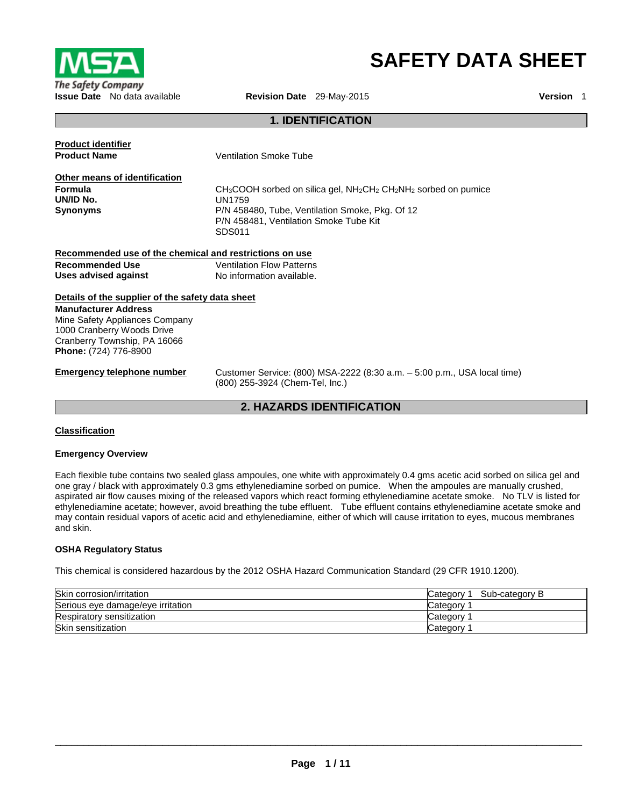

# **SAFETY DATA SHEET**

### **1. IDENTIFICATION**

| <b>Product identifier</b>                               |                                                                          |
|---------------------------------------------------------|--------------------------------------------------------------------------|
| <b>Product Name</b>                                     | <b>Ventilation Smoke Tube</b>                                            |
| Other means of identification                           |                                                                          |
| <b>Formula</b>                                          | $CH3COOH$ sorbed on silica gel, $NH2CH2NH2$ sorbed on pumice             |
| UN/ID No.                                               | UN1759                                                                   |
| <b>Synonyms</b>                                         | P/N 458480, Tube, Ventilation Smoke, Pkg. Of 12                          |
|                                                         | P/N 458481, Ventilation Smoke Tube Kit                                   |
|                                                         | SDS011                                                                   |
| Recommended use of the chemical and restrictions on use |                                                                          |
| <b>Recommended Use</b>                                  | <b>Ventilation Flow Patterns</b>                                         |
| Uses advised against                                    | No information available.                                                |
| Details of the supplier of the safety data sheet        |                                                                          |
| <b>Manufacturer Address</b>                             |                                                                          |
| Mine Safety Appliances Company                          |                                                                          |
| 1000 Cranberry Woods Drive                              |                                                                          |
| Cranberry Township, PA 16066                            |                                                                          |
| <b>Phone:</b> (724) 776-8900                            |                                                                          |
| Emergency telephone number                              | Customer Service: (800) MSA-2222 (8:30 a.m. - 5:00 p.m., USA local time) |

**2. HAZARDS IDENTIFICATION** 

(800) 255-3924 (Chem-Tel, Inc.)

#### **Classification**

#### **Emergency Overview**

Each flexible tube contains two sealed glass ampoules, one white with approximately 0.4 gms acetic acid sorbed on silica gel and one gray / black with approximately 0.3 gms ethylenediamine sorbed on pumice. When the ampoules are manually crushed, aspirated air flow causes mixing of the released vapors which react forming ethylenediamine acetate smoke. No TLV is listed for ethylenediamine acetate; however, avoid breathing the tube effluent. Tube effluent contains ethylenediamine acetate smoke and may contain residual vapors of acetic acid and ethylenediamine, either of which will cause irritation to eyes, mucous membranes and skin.

#### **OSHA Regulatory Status**

This chemical is considered hazardous by the 2012 OSHA Hazard Communication Standard (29 CFR 1910.1200).

| Skin corrosion/irritation         | Sub-category B<br>Category 1 |
|-----------------------------------|------------------------------|
| Serious eye damage/eye irritation | Category                     |
| Respiratory sensitization         | Category                     |
| Skin sensitization                | Category                     |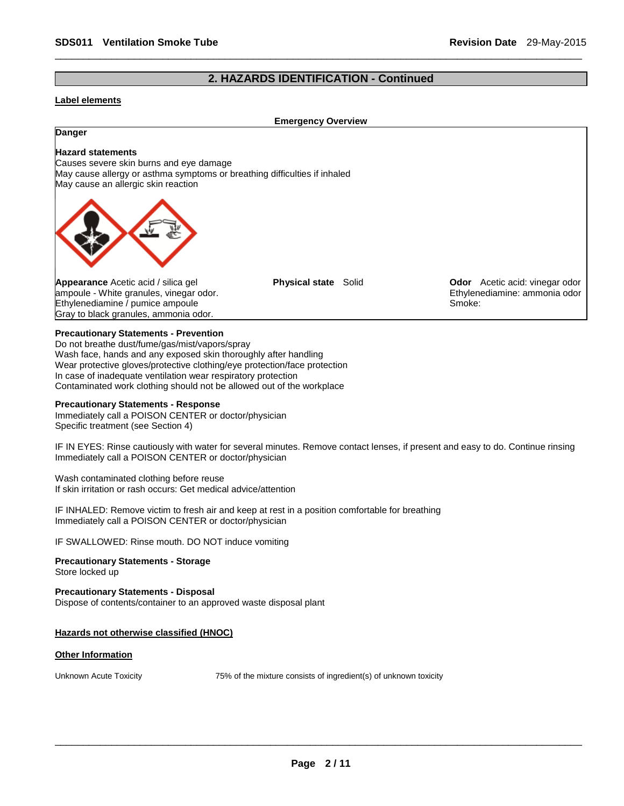### **2. HAZARDS IDENTIFICATION - Continued**

\_\_\_\_\_\_\_\_\_\_\_\_\_\_\_\_\_\_\_\_\_\_\_\_\_\_\_\_\_\_\_\_\_\_\_\_\_\_\_\_\_\_\_\_\_\_\_\_\_\_\_\_\_\_\_\_\_\_\_\_\_\_\_\_\_\_\_\_\_\_\_\_\_\_\_\_\_\_\_\_\_\_\_\_\_\_\_\_\_\_\_\_\_

#### **Label elements**

#### **Emergency Overview**

## **Danger Hazard statements** Causes severe skin burns and eye damage May cause allergy or asthma symptoms or breathing difficulties if inhaled May cause an allergic skin reaction **Appearance** Acetic acid / silica gel ampoule - White granules, vinegar odor. Ethylenediamine / pumice ampoule Gray to black granules, ammonia odor. **Physical state** Solid **Odor** Acetic acid: vinegar odor Ethylenediamine: ammonia odor Smoke:

#### **Precautionary Statements - Prevention**

Do not breathe dust/fume/gas/mist/vapors/spray Wash face, hands and any exposed skin thoroughly after handling Wear protective gloves/protective clothing/eye protection/face protection In case of inadequate ventilation wear respiratory protection Contaminated work clothing should not be allowed out of the workplace

#### **Precautionary Statements - Response**

Immediately call a POISON CENTER or doctor/physician Specific treatment (see Section 4)

IF IN EYES: Rinse cautiously with water for several minutes. Remove contact lenses, if present and easy to do. Continue rinsing Immediately call a POISON CENTER or doctor/physician

Wash contaminated clothing before reuse If skin irritation or rash occurs: Get medical advice/attention

IF INHALED: Remove victim to fresh air and keep at rest in a position comfortable for breathing Immediately call a POISON CENTER or doctor/physician

IF SWALLOWED: Rinse mouth. DO NOT induce vomiting

**Precautionary Statements - Storage** Store locked up

**Precautionary Statements - Disposal** Dispose of contents/container to an approved waste disposal plant

#### **Hazards not otherwise classified (HNOC)**

#### **Other Information**

Unknown Acute Toxicity 75% of the mixture consists of ingredient(s) of unknown toxicity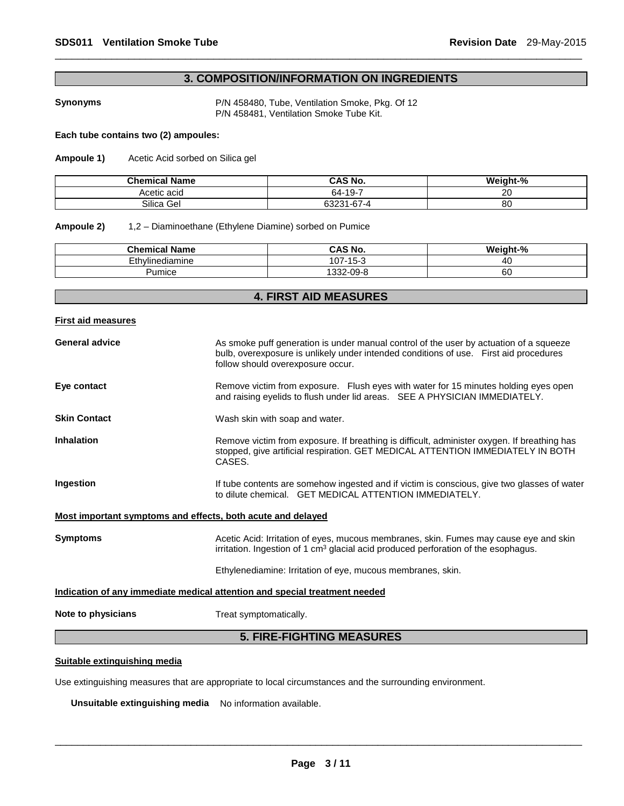### **3. COMPOSITION/INFORMATION ON INGREDIENTS**

\_\_\_\_\_\_\_\_\_\_\_\_\_\_\_\_\_\_\_\_\_\_\_\_\_\_\_\_\_\_\_\_\_\_\_\_\_\_\_\_\_\_\_\_\_\_\_\_\_\_\_\_\_\_\_\_\_\_\_\_\_\_\_\_\_\_\_\_\_\_\_\_\_\_\_\_\_\_\_\_\_\_\_\_\_\_\_\_\_\_\_\_\_

**Synonyms** P/N 458480, Tube, Ventilation Smoke, Pkg. Of 12 P/N 458481, Ventilation Smoke Tube Kit.

#### **Each tube contains two (2) ampoules:**

**Ampoule 1)** Acetic Acid sorbed on Silica gel

| <b>Chemical Name</b> | <b>CAS No.</b> | Weight-% |
|----------------------|----------------|----------|
| Acetic acid          | 64-19-7        | 20       |
| Silica Gel           | 63231-67-4     | 80       |

#### **Ampoule 2)** 1,2 – Diaminoethane (Ethylene Diamine) sorbed on Pumice

| <b>Chemical Name</b> | CAS No.                    | Mai<br>.nh+_0/ |
|----------------------|----------------------------|----------------|
| Ethylinediamine      | $-15-3$<br>$107 -$         | 40             |
| Pumice               | $\sim$ $\sim$<br>1332-09-8 | 60             |

### **4. FIRST AID MEASURES**

**First aid measures**

| <b>General advice</b>                                                      | As smoke puff generation is under manual control of the user by actuation of a squeeze<br>bulb, overexposure is unlikely under intended conditions of use. First aid procedures<br>follow should overexposure occur. |  |  |
|----------------------------------------------------------------------------|----------------------------------------------------------------------------------------------------------------------------------------------------------------------------------------------------------------------|--|--|
| Eye contact                                                                | Remove victim from exposure. Flush eyes with water for 15 minutes holding eyes open<br>and raising eyelids to flush under lid areas. SEE A PHYSICIAN IMMEDIATELY.                                                    |  |  |
| <b>Skin Contact</b>                                                        | Wash skin with soap and water.                                                                                                                                                                                       |  |  |
| <b>Inhalation</b>                                                          | Remove victim from exposure. If breathing is difficult, administer oxygen. If breathing has<br>stopped, give artificial respiration. GET MEDICAL ATTENTION IMMEDIATELY IN BOTH<br>CASES.                             |  |  |
| Ingestion                                                                  | If tube contents are somehow ingested and if victim is conscious, give two glasses of water<br>to dilute chemical. GET MEDICAL ATTENTION IMMEDIATELY.                                                                |  |  |
| <u>Most important symptoms and effects, both acute and delayed</u>         |                                                                                                                                                                                                                      |  |  |
| <b>Symptoms</b>                                                            | Acetic Acid: Irritation of eyes, mucous membranes, skin. Fumes may cause eye and skin<br>irritation. Ingestion of 1 $\text{cm}^3$ glacial acid produced perforation of the esophagus.                                |  |  |
|                                                                            | Ethylenediamine: Irritation of eye, mucous membranes, skin.                                                                                                                                                          |  |  |
| Indication of any immediate medical attention and special treatment needed |                                                                                                                                                                                                                      |  |  |
| Note to physicians                                                         | Treat symptomatically.                                                                                                                                                                                               |  |  |
| <b>5. FIRE-FIGHTING MEASURES</b>                                           |                                                                                                                                                                                                                      |  |  |

#### **Suitable extinguishing media**

Use extinguishing measures that are appropriate to local circumstances and the surrounding environment.

**Unsuitable extinguishing media** No information available.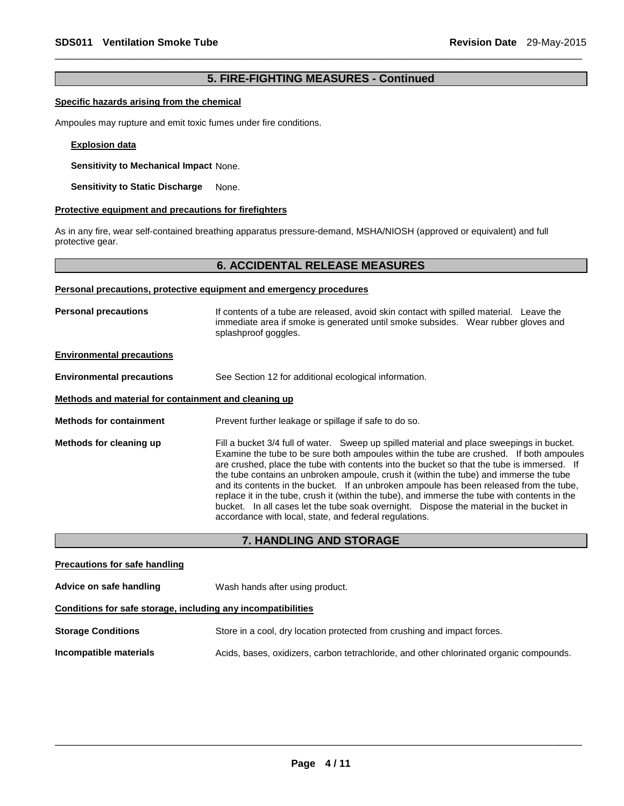### **5. FIRE-FIGHTING MEASURES - Continued**

\_\_\_\_\_\_\_\_\_\_\_\_\_\_\_\_\_\_\_\_\_\_\_\_\_\_\_\_\_\_\_\_\_\_\_\_\_\_\_\_\_\_\_\_\_\_\_\_\_\_\_\_\_\_\_\_\_\_\_\_\_\_\_\_\_\_\_\_\_\_\_\_\_\_\_\_\_\_\_\_\_\_\_\_\_\_\_\_\_\_\_\_\_

#### **Specific hazards arising from the chemical**

Ampoules may rupture and emit toxic fumes under fire conditions.

#### **Explosion data**

**Sensitivity to Mechanical Impact** None.

**Sensitivity to Static Discharge None.** 

#### **Protective equipment and precautions for firefighters**

As in any fire, wear self-contained breathing apparatus pressure-demand, MSHA/NIOSH (approved or equivalent) and full protective gear.

#### **6. ACCIDENTAL RELEASE MEASURES**

#### **Personal precautions, protective equipment and emergency procedures**

**Personal precautions** If contents of a tube are released, avoid skin contact with spilled material. Leave the immediate area if smoke is generated until smoke subsides. Wear rubber gloves and splashproof goggles.

#### **Environmental precautions**

**Environmental precautions** See Section 12 for additional ecological information.

#### **Methods and material for containment and cleaning up**

**Methods for containment Prevent further leakage or spillage if safe to do so.** 

**Methods for cleaning up** Fill a bucket 3/4 full of water. Sweep up spilled material and place sweepings in bucket. Examine the tube to be sure both ampoules within the tube are crushed. If both ampoules are crushed, place the tube with contents into the bucket so that the tube is immersed. If the tube contains an unbroken ampoule, crush it (within the tube) and immerse the tube and its contents in the bucket. If an unbroken ampoule has been released from the tube, replace it in the tube, crush it (within the tube), and immerse the tube with contents in the bucket. In all cases let the tube soak overnight. Dispose the material in the bucket in accordance with local, state, and federal regulations.

#### **7. HANDLING AND STORAGE**

**Precautions for safe handling Advice on safe handling** Wash hands after using product. **Conditions for safe storage, including any incompatibilities Storage Conditions** Store in a cool, dry location protected from crushing and impact forces. **Incompatible materials** Acids, bases, oxidizers, carbon tetrachloride, and other chlorinated organic compounds.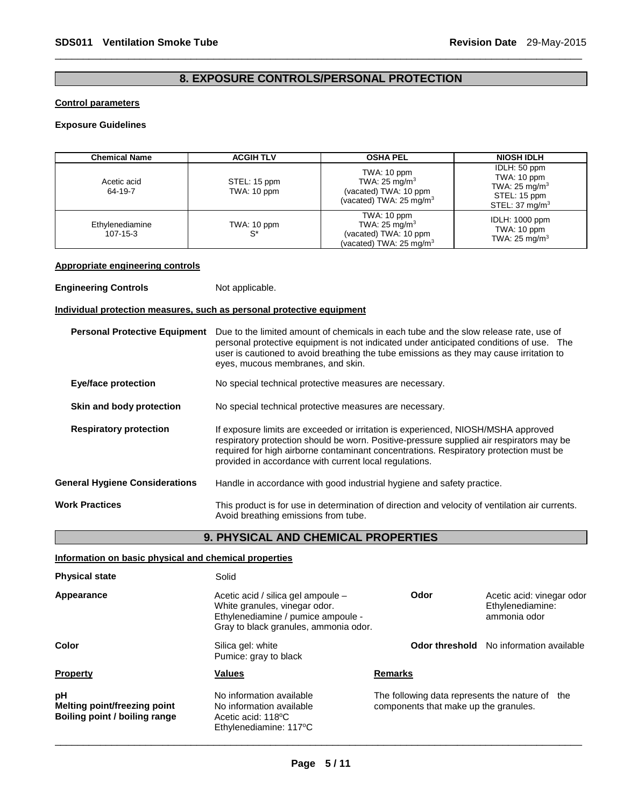### **8. EXPOSURE CONTROLS/PERSONAL PROTECTION**

\_\_\_\_\_\_\_\_\_\_\_\_\_\_\_\_\_\_\_\_\_\_\_\_\_\_\_\_\_\_\_\_\_\_\_\_\_\_\_\_\_\_\_\_\_\_\_\_\_\_\_\_\_\_\_\_\_\_\_\_\_\_\_\_\_\_\_\_\_\_\_\_\_\_\_\_\_\_\_\_\_\_\_\_\_\_\_\_\_\_\_\_\_

#### **Control parameters**

### **Exposure Guidelines**

| <b>Chemical Name</b>                                                                                                                                             | <b>ACGIH TLV</b>                                                                                                                                                                                 |                                                                                                                                                                                                                                                                                                                                  | <b>NIOSH IDLH</b>                                                                                     |  |  |
|------------------------------------------------------------------------------------------------------------------------------------------------------------------|--------------------------------------------------------------------------------------------------------------------------------------------------------------------------------------------------|----------------------------------------------------------------------------------------------------------------------------------------------------------------------------------------------------------------------------------------------------------------------------------------------------------------------------------|-------------------------------------------------------------------------------------------------------|--|--|
| Acetic acid<br>64-19-7                                                                                                                                           | STEL: 15 ppm<br>TWA: 10 ppm                                                                                                                                                                      | TWA: 10 ppm<br>TWA: $25 \text{ mg/m}^3$<br>(vacated) TWA: 10 ppm<br>(vacated) TWA: 25 mg/m <sup>3</sup>                                                                                                                                                                                                                          | IDLH: 50 ppm<br>TWA: 10 ppm<br>TWA: 25 mg/m <sup>3</sup><br>STEL: 15 ppm<br>STEL: $37 \text{ mg/m}^3$ |  |  |
| Ethylenediamine<br>TWA: 10 ppm<br>$S^*$<br>107-15-3                                                                                                              |                                                                                                                                                                                                  | TWA: 10 ppm<br>TWA: 25 mg/m <sup>3</sup><br>(vacated) TWA: 10 ppm<br>(vacated) TWA: 25 mg/m <sup>3</sup>                                                                                                                                                                                                                         | IDLH: 1000 ppm<br>TWA: 10 ppm<br>TWA: 25 mg/m <sup>3</sup>                                            |  |  |
| <b>Appropriate engineering controls</b>                                                                                                                          |                                                                                                                                                                                                  |                                                                                                                                                                                                                                                                                                                                  |                                                                                                       |  |  |
| <b>Engineering Controls</b>                                                                                                                                      | Not applicable.                                                                                                                                                                                  |                                                                                                                                                                                                                                                                                                                                  |                                                                                                       |  |  |
| Individual protection measures, such as personal protective equipment                                                                                            |                                                                                                                                                                                                  |                                                                                                                                                                                                                                                                                                                                  |                                                                                                       |  |  |
| <b>Personal Protective Equipment</b>                                                                                                                             | eyes, mucous membranes, and skin.                                                                                                                                                                | Due to the limited amount of chemicals in each tube and the slow release rate, use of<br>personal protective equipment is not indicated under anticipated conditions of use. The<br>user is cautioned to avoid breathing the tube emissions as they may cause irritation to                                                      |                                                                                                       |  |  |
| <b>Eye/face protection</b>                                                                                                                                       |                                                                                                                                                                                                  | No special technical protective measures are necessary.                                                                                                                                                                                                                                                                          |                                                                                                       |  |  |
| Skin and body protection                                                                                                                                         |                                                                                                                                                                                                  | No special technical protective measures are necessary.                                                                                                                                                                                                                                                                          |                                                                                                       |  |  |
| <b>Respiratory protection</b>                                                                                                                                    |                                                                                                                                                                                                  | If exposure limits are exceeded or irritation is experienced, NIOSH/MSHA approved<br>respiratory protection should be worn. Positive-pressure supplied air respirators may be<br>required for high airborne contaminant concentrations. Respiratory protection must be<br>provided in accordance with current local regulations. |                                                                                                       |  |  |
| <b>General Hygiene Considerations</b>                                                                                                                            |                                                                                                                                                                                                  | Handle in accordance with good industrial hygiene and safety practice.                                                                                                                                                                                                                                                           |                                                                                                       |  |  |
| <b>Work Practices</b>                                                                                                                                            |                                                                                                                                                                                                  | This product is for use in determination of direction and velocity of ventilation air currents.<br>Avoid breathing emissions from tube.                                                                                                                                                                                          |                                                                                                       |  |  |
| 9. PHYSICAL AND CHEMICAL PROPERTIES                                                                                                                              |                                                                                                                                                                                                  |                                                                                                                                                                                                                                                                                                                                  |                                                                                                       |  |  |
| Information on basic physical and chemical properties                                                                                                            |                                                                                                                                                                                                  |                                                                                                                                                                                                                                                                                                                                  |                                                                                                       |  |  |
| <b>Physical state</b>                                                                                                                                            | Solid                                                                                                                                                                                            |                                                                                                                                                                                                                                                                                                                                  |                                                                                                       |  |  |
| Appearance<br>Acetic acid / silica gel ampoule -<br>White granules, vinegar odor.<br>Ethylenediamine / pumice ampoule -<br>Gray to black granules, ammonia odor. |                                                                                                                                                                                                  | Odor                                                                                                                                                                                                                                                                                                                             | Acetic acid: vinegar odor<br>Ethylenediamine:<br>ammonia odor                                         |  |  |
| Color<br>Silica gel: white<br>Pumice: gray to black                                                                                                              |                                                                                                                                                                                                  | Odor threshold                                                                                                                                                                                                                                                                                                                   | No information available                                                                              |  |  |
| <b>Property</b>                                                                                                                                                  | <b>Values</b>                                                                                                                                                                                    | <u>Remarks</u>                                                                                                                                                                                                                                                                                                                   |                                                                                                       |  |  |
| рH<br>Melting point/freezing point<br>Boiling point / boiling range                                                                                              | No information available<br>The following data represents the nature of the<br>No information available<br>components that make up the granules.<br>Acetic acid: 118°C<br>Ethylenediamine: 117°C |                                                                                                                                                                                                                                                                                                                                  |                                                                                                       |  |  |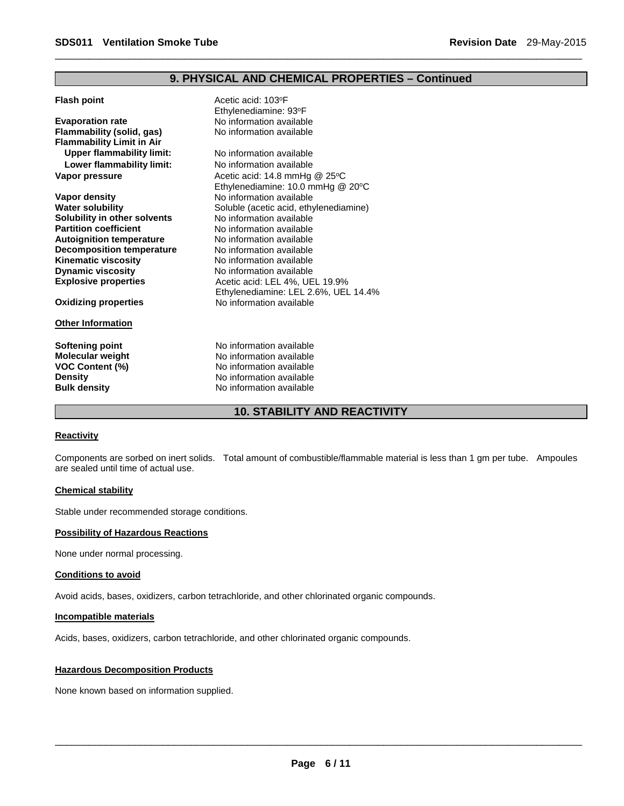### **9. PHYSICAL AND CHEMICAL PROPERTIES – Continued**

\_\_\_\_\_\_\_\_\_\_\_\_\_\_\_\_\_\_\_\_\_\_\_\_\_\_\_\_\_\_\_\_\_\_\_\_\_\_\_\_\_\_\_\_\_\_\_\_\_\_\_\_\_\_\_\_\_\_\_\_\_\_\_\_\_\_\_\_\_\_\_\_\_\_\_\_\_\_\_\_\_\_\_\_\_\_\_\_\_\_\_\_\_

| <b>Flash point</b>               | Acetic acid: 103°F                     |
|----------------------------------|----------------------------------------|
|                                  | Ethylenediamine: 93°F                  |
| <b>Evaporation rate</b>          | No information available               |
| Flammability (solid, gas)        | No information available               |
| <b>Flammability Limit in Air</b> |                                        |
| <b>Upper flammability limit:</b> | No information available               |
| Lower flammability limit:        | No information available               |
| Vapor pressure                   | Acetic acid: 14.8 mmHg @ 25°C          |
|                                  | Ethylenediamine: 10.0 mmHg @ 20°C      |
| Vapor density                    | No information available               |
| <b>Water solubility</b>          | Soluble (acetic acid, ethylenediamine) |
| Solubility in other solvents     | No information available               |
| <b>Partition coefficient</b>     | No information available               |
| <b>Autoignition temperature</b>  | No information available               |
| <b>Decomposition temperature</b> | No information available               |
| <b>Kinematic viscosity</b>       | No information available               |
| <b>Dynamic viscosity</b>         | No information available               |
| <b>Explosive properties</b>      | Acetic acid: LEL 4%, UEL 19.9%         |
|                                  | Ethylenediamine: LEL 2.6%, UEL 14.4%   |
| <b>Oxidizing properties</b>      | No information available               |
| <b>Other Information</b>         |                                        |
| <b>Softening point</b>           | No information available               |
| <b>Molecular weight</b>          | No information available               |
| <b>VOC Content (%)</b>           | No information available               |
| <b>Density</b>                   | No information available               |
| <b>Bulk density</b>              | No information available               |
|                                  |                                        |

### **10. STABILITY AND REACTIVITY**

#### **Reactivity**

Components are sorbed on inert solids. Total amount of combustible/flammable material is less than 1 gm per tube. Ampoules are sealed until time of actual use.

#### **Chemical stability**

Stable under recommended storage conditions.

#### **Possibility of Hazardous Reactions**

None under normal processing.

#### **Conditions to avoid**

Avoid acids, bases, oxidizers, carbon tetrachloride, and other chlorinated organic compounds.

#### **Incompatible materials**

Acids, bases, oxidizers, carbon tetrachloride, and other chlorinated organic compounds.

#### **Hazardous Decomposition Products**

None known based on information supplied.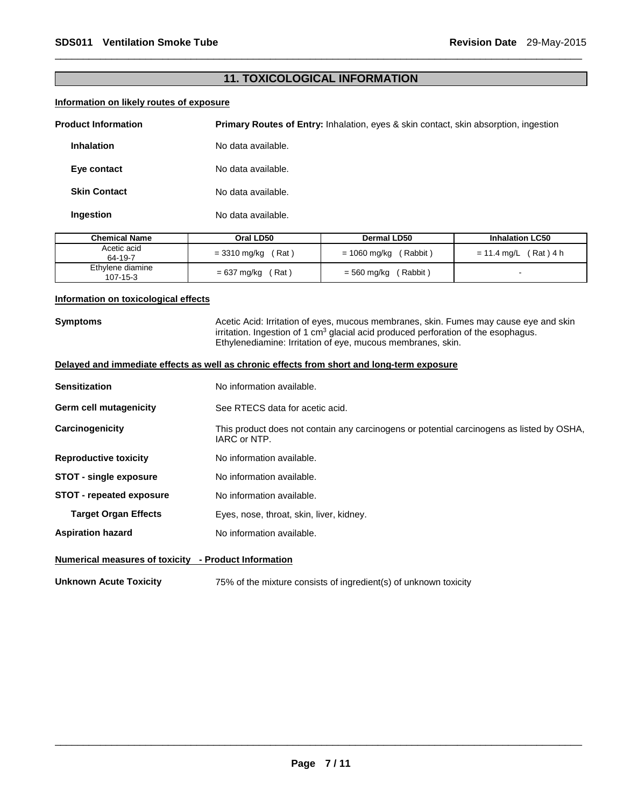### **11. TOXICOLOGICAL INFORMATION**

\_\_\_\_\_\_\_\_\_\_\_\_\_\_\_\_\_\_\_\_\_\_\_\_\_\_\_\_\_\_\_\_\_\_\_\_\_\_\_\_\_\_\_\_\_\_\_\_\_\_\_\_\_\_\_\_\_\_\_\_\_\_\_\_\_\_\_\_\_\_\_\_\_\_\_\_\_\_\_\_\_\_\_\_\_\_\_\_\_\_\_\_\_

#### **Information on likely routes of exposure**

| <b>Product Information</b> | <b>Primary Routes of Entry:</b> Inhalation, eyes & skin contact, skin absorption, ingestion |
|----------------------------|---------------------------------------------------------------------------------------------|
| <b>Inhalation</b>          | No data available.                                                                          |
| Eye contact                | No data available.                                                                          |
| <b>Skin Contact</b>        | No data available.                                                                          |
| Ingestion                  | No data available.                                                                          |

| <b>Chemical Name</b>         | Oral LD50              | Dermal LD50              | <b>Inhalation LC50</b>  |
|------------------------------|------------------------|--------------------------|-------------------------|
| Acetic acid<br>64-19-7       | $= 3310$ mg/kg (Rat)   | (Rabbit)<br>= 1060 mg/kg | $= 11.4$ mg/L (Rat) 4 h |
| Ethylene diamine<br>107-15-3 | ์ Rat )<br>= 637 mg/kg | Rabbit)<br>= 560 mg/kg   |                         |

#### **Information on toxicological effects**

**Symptoms Acetic Acid: Irritation of eyes, mucous membranes, skin. Fumes may cause eye and skin** irritation. Ingestion of 1 cm<sup>3</sup> glacial acid produced perforation of the esophagus. Ethylenediamine: Irritation of eye, mucous membranes, skin.

| Delayed and immediate effects as well as chronic effects from short and long-term exposure |                                                                                                           |  |  |
|--------------------------------------------------------------------------------------------|-----------------------------------------------------------------------------------------------------------|--|--|
| <b>Sensitization</b>                                                                       | No information available.                                                                                 |  |  |
| <b>Germ cell mutagenicity</b>                                                              | See RTECS data for acetic acid.                                                                           |  |  |
| Carcinogenicity                                                                            | This product does not contain any carcinogens or potential carcinogens as listed by OSHA,<br>IARC or NTP. |  |  |
| <b>Reproductive toxicity</b>                                                               | No information available.                                                                                 |  |  |
| <b>STOT - single exposure</b>                                                              | No information available.                                                                                 |  |  |
| <b>STOT</b> - repeated exposure                                                            | No information available.                                                                                 |  |  |
| <b>Target Organ Effects</b>                                                                | Eyes, nose, throat, skin, liver, kidney.                                                                  |  |  |
| <b>Aspiration hazard</b>                                                                   | No information available.                                                                                 |  |  |
|                                                                                            |                                                                                                           |  |  |

### **Numerical measures of toxicity - Product Information**

**Unknown Acute Toxicity** 75% of the mixture consists of ingredient(s) of unknown toxicity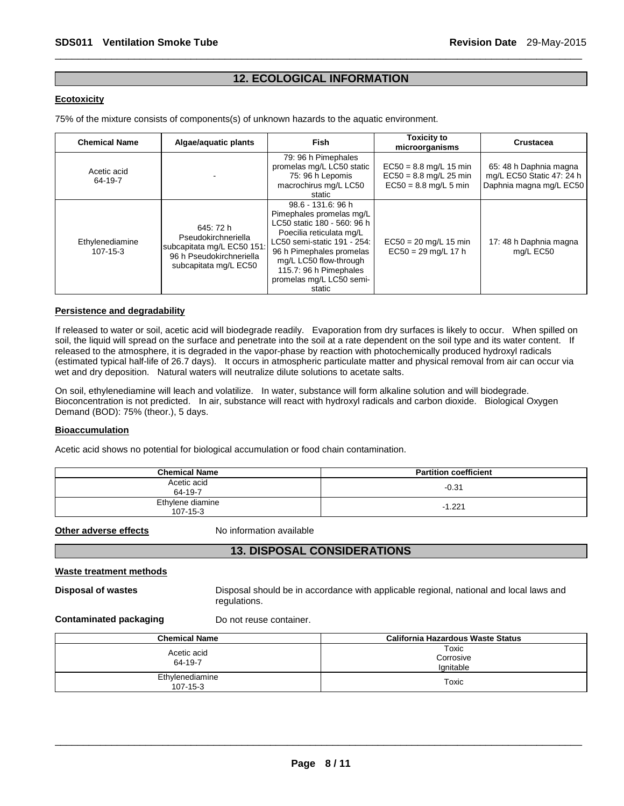### **12. ECOLOGICAL INFORMATION**

\_\_\_\_\_\_\_\_\_\_\_\_\_\_\_\_\_\_\_\_\_\_\_\_\_\_\_\_\_\_\_\_\_\_\_\_\_\_\_\_\_\_\_\_\_\_\_\_\_\_\_\_\_\_\_\_\_\_\_\_\_\_\_\_\_\_\_\_\_\_\_\_\_\_\_\_\_\_\_\_\_\_\_\_\_\_\_\_\_\_\_\_\_

#### **Ecotoxicity**

75% of the mixture consists of components(s) of unknown hazards to the aquatic environment.

| <b>Chemical Name</b>        | Algae/aguatic plants                                                                                                | <b>Fish</b>                                                                                                                                                                                                                                                    | <b>Toxicity to</b><br>microorganisms                                            | Crustacea                                                                      |
|-----------------------------|---------------------------------------------------------------------------------------------------------------------|----------------------------------------------------------------------------------------------------------------------------------------------------------------------------------------------------------------------------------------------------------------|---------------------------------------------------------------------------------|--------------------------------------------------------------------------------|
| Acetic acid<br>64-19-7      |                                                                                                                     | 79: 96 h Pimephales<br>promelas mg/L LC50 static<br>75: 96 h Lepomis<br>macrochirus mg/L LC50<br>static                                                                                                                                                        | $EC50 = 8.8$ mg/L 15 min<br>$EC50 = 8.8$ mg/L 25 min<br>$EC50 = 8.8$ mg/L 5 min | 65: 48 h Daphnia magna<br>mg/L EC50 Static 47: 24 h<br>Daphnia magna mg/L EC50 |
| Ethylenediamine<br>107-15-3 | 645: 72 h<br>Pseudokirchneriella<br>subcapitata mg/L EC50 151:<br>96 h Pseudokirchneriella<br>subcapitata mg/L EC50 | 98.6 - 131.6: 96 h<br>Pimephales promelas mg/L<br>LC50 static 180 - 560: 96 h<br>Poecilia reticulata mg/L<br>LC50 semi-static 191 - 254:<br>96 h Pimephales promelas<br>mg/L LC50 flow-through<br>115.7: 96 h Pimephales<br>promelas mg/L LC50 semi-<br>static | $EC50 = 20$ mg/L 15 min<br>$EC50 = 29$ mg/L 17 h                                | 17: 48 h Daphnia magna<br>mg/L EC50                                            |

#### **Persistence and degradability**

If released to water or soil, acetic acid will biodegrade readily. Evaporation from dry surfaces is likely to occur. When spilled on soil, the liquid will spread on the surface and penetrate into the soil at a rate dependent on the soil type and its water content. If released to the atmosphere, it is degraded in the vapor-phase by reaction with photochemically produced hydroxyl radicals (estimated typical half-life of 26.7 days). It occurs in atmospheric particulate matter and physical removal from air can occur via wet and dry deposition. Natural waters will neutralize dilute solutions to acetate salts.

On soil, ethylenediamine will leach and volatilize. In water, substance will form alkaline solution and will biodegrade. Bioconcentration is not predicted. In air, substance will react with hydroxyl radicals and carbon dioxide. Biological Oxygen Demand (BOD): 75% (theor.), 5 days.

#### **Bioaccumulation**

Acetic acid shows no potential for biological accumulation or food chain contamination.

| <b>Chemical Name</b>               | <b>Partition coefficient</b> |
|------------------------------------|------------------------------|
| Acetic acid<br>64-19-7             | $-0.31$                      |
| Ethylene diamine<br>$107 - 15 - 3$ | $-1.221$                     |

**Other adverse effects** No information available

### **13. DISPOSAL CONSIDERATIONS**

#### **Waste treatment methods**

**Disposal of wastes** Disposal should be in accordance with applicable regional, national and local laws and regulations.

**Contaminated packaging Theory Do not reuse container.** 

| <b>Chemical Name</b>              | California Hazardous Waste Status |  |
|-----------------------------------|-----------------------------------|--|
| Acetic acid<br>64-19-7            | Toxic<br>Corrosive<br>lgnitable   |  |
| Ethylenediamine<br>$107 - 15 - 3$ | Toxic                             |  |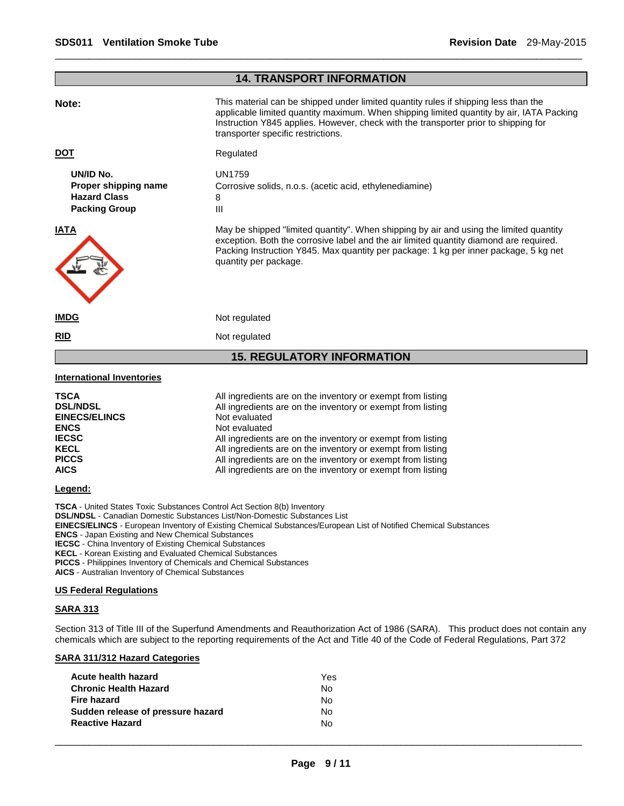### **14. TRANSPORT INFORMATION Note: This material can be shipped under limited quantity rules if shipping less than the** applicable limited quantity maximum. When shipping limited quantity by air, IATA Packing Instruction Y845 applies. However, check with the transporter prior to shipping for transporter specific restrictions. **DOT** Regulated **UN/ID No.** UN1759 **Proper shipping name Corrosive solids, n.o.s. (acetic acid, ethylenediamine) Hazard Class** 8 **Packing Group 111 IATA** May be shipped "limited quantity". When shipping by air and using the limited quantity exception. Both the corrosive label and the air limited quantity diamond are required. Packing Instruction Y845. Max quantity per package: 1 kg per inner package, 5 kg net quantity per package. **IMDG** Not regulated **RID** Not regulated **15. REGULATORY INFORMATION International Inventories TSCA** All ingredients are on the inventory or exempt from listing **DSL/NDSL All ingredients are on the inventory or exempt from listing EINECS/ELINCS** Not evaluated **ENCS** Not evaluated<br> **IECSC** All ingredients **IECSC All ingredients are on the inventory or exempt from listing KECL**<br>All ingredients are on the inventory or exempt from listing All ingredients are on the inventory or exempt from listing **PICCS** All ingredients are on the inventory or exempt from listing **AICS** All ingredients are on the inventory or exempt from listing **Legend:**

\_\_\_\_\_\_\_\_\_\_\_\_\_\_\_\_\_\_\_\_\_\_\_\_\_\_\_\_\_\_\_\_\_\_\_\_\_\_\_\_\_\_\_\_\_\_\_\_\_\_\_\_\_\_\_\_\_\_\_\_\_\_\_\_\_\_\_\_\_\_\_\_\_\_\_\_\_\_\_\_\_\_\_\_\_\_\_\_\_\_\_\_\_

**TSCA** - United States Toxic Substances Control Act Section 8(b) Inventory **DSL/NDSL** - Canadian Domestic Substances List/Non-Domestic Substances List **EINECS/ELINCS** - European Inventory of Existing Chemical Substances/European List of Notified Chemical Substances **ENCS** - Japan Existing and New Chemical Substances **IECSC** - China Inventory of Existing Chemical Substances **KECL** - Korean Existing and Evaluated Chemical Substances **PICCS** - Philippines Inventory of Chemicals and Chemical Substances **AICS** - Australian Inventory of Chemical Substances

### **US Federal Regulations**

#### **SARA 313**

Section 313 of Title III of the Superfund Amendments and Reauthorization Act of 1986 (SARA). This product does not contain any chemicals which are subject to the reporting requirements of the Act and Title 40 of the Code of Federal Regulations, Part 372

#### **SARA 311/312 Hazard Categories**

| Acute health hazard               | Yes |
|-----------------------------------|-----|
| <b>Chronic Health Hazard</b>      | No. |
| Fire hazard                       | No. |
| Sudden release of pressure hazard | No. |
| <b>Reactive Hazard</b>            | N٥  |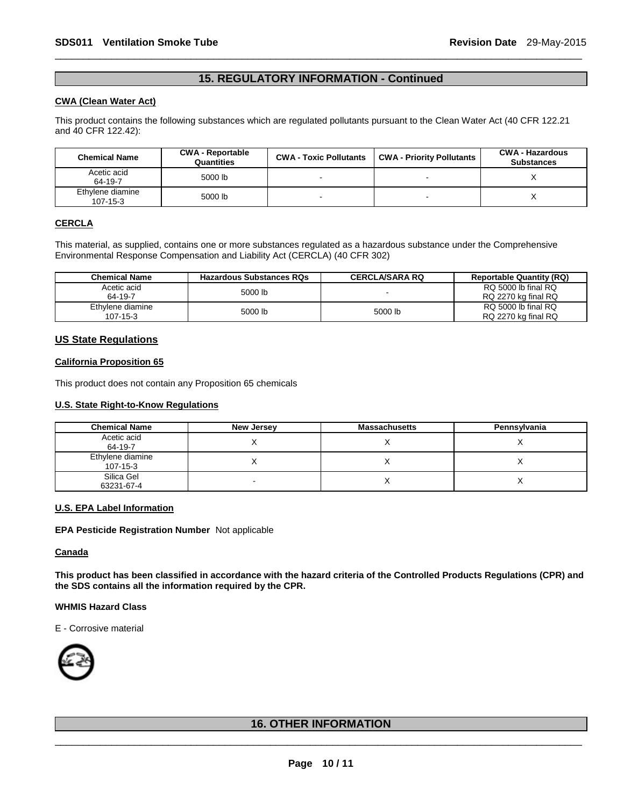### **15. REGULATORY INFORMATION - Continued**

\_\_\_\_\_\_\_\_\_\_\_\_\_\_\_\_\_\_\_\_\_\_\_\_\_\_\_\_\_\_\_\_\_\_\_\_\_\_\_\_\_\_\_\_\_\_\_\_\_\_\_\_\_\_\_\_\_\_\_\_\_\_\_\_\_\_\_\_\_\_\_\_\_\_\_\_\_\_\_\_\_\_\_\_\_\_\_\_\_\_\_\_\_

#### **CWA (Clean Water Act)**

This product contains the following substances which are regulated pollutants pursuant to the Clean Water Act (40 CFR 122.21 and 40 CFR 122.42):

| <b>Chemical Name</b>               | <b>CWA - Reportable</b><br>Quantities | <b>CWA - Toxic Pollutants</b> | <b>CWA - Priority Pollutants</b> | <b>CWA - Hazardous</b><br><b>Substances</b> |
|------------------------------------|---------------------------------------|-------------------------------|----------------------------------|---------------------------------------------|
| Acetic acid<br>64-19-7             | 5000 lb                               |                               |                                  |                                             |
| Ethylene diamine<br>$107 - 15 - 3$ | 5000 lb                               |                               |                                  |                                             |

#### **CERCLA**

This material, as supplied, contains one or more substances regulated as a hazardous substance under the Comprehensive Environmental Response Compensation and Liability Act (CERCLA) (40 CFR 302)

| <b>Chemical Name</b>         | <b>Hazardous Substances RQs</b> | <b>CERCLA/SARA RQ</b> | <b>Reportable Quantity (RQ)</b>            |
|------------------------------|---------------------------------|-----------------------|--------------------------------------------|
| Acetic acid<br>64-19-7       | 5000 lb                         |                       | RQ 5000 lb final RQ<br>RQ 2270 kg final RQ |
| Ethylene diamine<br>107-15-3 | 5000 lb                         | 5000 lb               | RQ 5000 lb final RQ<br>RQ 2270 kg final RQ |

#### **US State Regulations**

#### **California Proposition 65**

This product does not contain any Proposition 65 chemicals

#### **U.S. State Right-to-Know Regulations**

| <b>Chemical Name</b>               | New Jersey | <b>Massachusetts</b> | Pennsylvania |
|------------------------------------|------------|----------------------|--------------|
| Acetic acid<br>64-19-7             |            |                      |              |
| Ethylene diamine<br>$107 - 15 - 3$ |            |                      |              |
| Silica Gel<br>63231-67-4           |            |                      |              |

#### **U.S. EPA Label Information**

#### **EPA Pesticide Registration Number** Not applicable

#### **Canada**

**This product has been classified in accordance with the hazard criteria of the Controlled Products Regulations (CPR) and the SDS contains all the information required by the CPR.** 

#### **WHMIS Hazard Class**

E - Corrosive material



### \_\_\_\_\_\_\_\_\_\_\_\_\_\_\_\_\_\_\_\_\_\_\_\_\_\_\_\_\_\_\_\_\_\_\_\_\_\_\_\_\_\_\_\_\_\_\_\_\_\_\_\_\_\_\_\_\_\_\_\_\_\_\_\_\_\_\_\_\_\_\_\_\_\_\_\_\_\_\_\_\_\_\_\_\_\_\_\_\_\_\_\_\_ **16. OTHER INFORMATION**